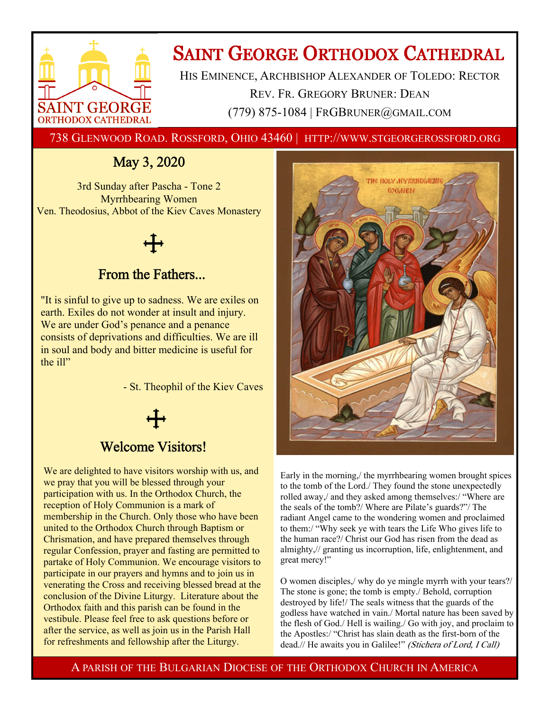

# **SAINT GEORGE ORTHODOX CATHEDRAL**

HIS EMINENCE, ARCHBISHOP ALEXANDER OF TOLEDO: RECTOR REV. FR. GREGORY BRUNER: DEAN (779) 875-1084 | FRGBRUNER@GMAIL.COM

738 GLENWOOD ROAD. ROSSFORD, OHIO 43460 | HTTP://WWW.STGEORGEROSSFORD.ORG

## May 3, 2020

3rd Sunday after Pascha - Tone 2 Myrrhbearing Women Ven. Theodosius, Abbot of the Kiev Caves Monastery

## From the Fathers...

"It is sinful to give up to sadness. We are exiles on earth. Exiles do not wonder at insult and injury. We are under God's penance and a penance consists of deprivations and difficulties. We are ill in soul and body and bitter medicine is useful for the ill"

- St. Theophil of the Kiev Caves

### Welcome Visitors!

We are delighted to have visitors worship with us, and we pray that you will be blessed through your participation with us. In the Orthodox Church, the reception of Holy Communion is a mark of membership in the Church. Only those who have been united to the Orthodox Church through Baptism or Chrismation, and have prepared themselves through regular Confession, prayer and fasting are permitted to partake of Holy Communion. We encourage visitors to participate in our prayers and hymns and to join us in venerating the Cross and receiving blessed bread at the conclusion of the Divine Liturgy. Literature about the Orthodox faith and this parish can be found in the vestibule. Please feel free to ask questions before or after the service, as well as join us in the Parish Hall for refreshments and fellowship after the Liturgy.



Early in the morning,/ the myrrhbearing women brought spices to the tomb of the Lord./ They found the stone unexpectedly rolled away,/ and they asked among themselves:/ "Where are the seals of the tomb?/ Where are Pilate's guards?"/ The radiant Angel came to the wondering women and proclaimed to them:/ "Why seek ye with tears the Life Who gives life to the human race?/ Christ our God has risen from the dead as almighty,// granting us incorruption, life, enlightenment, and great mercy!"

O women disciples,/ why do ye mingle myrrh with your tears?/ The stone is gone; the tomb is empty./ Behold, corruption destroyed by life!/ The seals witness that the guards of the godless have watched in vain./ Mortal nature has been saved by the flesh of God./ Hell is wailing./ Go with joy, and proclaim to the Apostles:/ "Christ has slain death as the first-born of the dead.// He awaits you in Galilee!" (Stichera of Lord, I Call)

A PARISH OF THE BULGARIAN DIOCESE OF THE ORTHODOX CHURCH IN AMERICA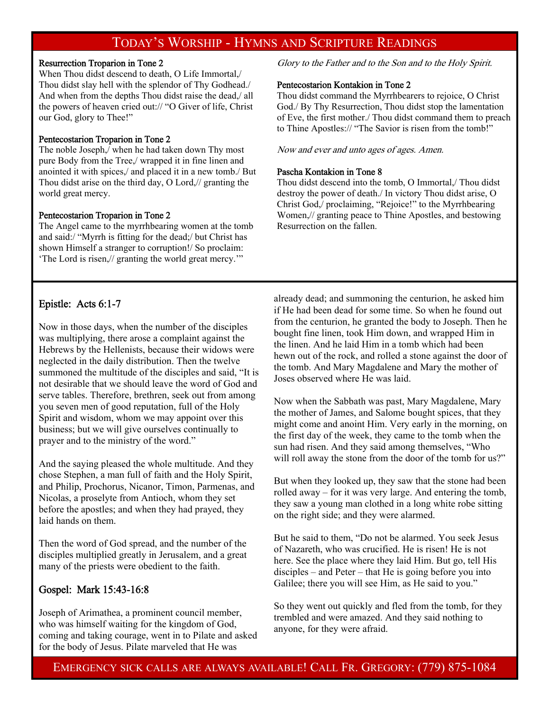### TODAY'S WORSHIP - HYMNS AND SCRIPTURE READINGS

#### Resurrection Troparion in Tone 2

When Thou didst descend to death, O Life Immortal,/ Thou didst slay hell with the splendor of Thy Godhead./ And when from the depths Thou didst raise the dead,/ all the powers of heaven cried out:// "O Giver of life, Christ our God, glory to Thee!"

#### Pentecostarion Troparion in Tone 2

The noble Joseph,/ when he had taken down Thy most pure Body from the Tree,/ wrapped it in fine linen and anointed it with spices,/ and placed it in a new tomb./ But Thou didst arise on the third day, O Lord,// granting the world great mercy.

#### Pentecostarion Troparion in Tone 2

The Angel came to the myrrhbearing women at the tomb and said:/ "Myrrh is fitting for the dead;/ but Christ has shown Himself a stranger to corruption!/ So proclaim: 'The Lord is risen,// granting the world great mercy.'"

#### Epistle: Acts 6:1-7

Now in those days, when the number of the disciples was multiplying, there arose a complaint against the Hebrews by the Hellenists, because their widows were neglected in the daily distribution. Then the twelve summoned the multitude of the disciples and said, "It is not desirable that we should leave the word of God and serve tables. Therefore, brethren, seek out from among you seven men of good reputation, full of the Holy Spirit and wisdom, whom we may appoint over this business; but we will give ourselves continually to prayer and to the ministry of the word."

And the saying pleased the whole multitude. And they chose Stephen, a man full of faith and the Holy Spirit, and Philip, Prochorus, Nicanor, Timon, Parmenas, and Nicolas, a proselyte from Antioch, whom they set before the apostles; and when they had prayed, they laid hands on them.

Then the word of God spread, and the number of the disciples multiplied greatly in Jerusalem, and a great many of the priests were obedient to the faith.

#### Gospel: Mark 15:43-16:8

Joseph of Arimathea, a prominent council member, who was himself waiting for the kingdom of God, coming and taking courage, went in to Pilate and asked for the body of Jesus. Pilate marveled that He was

Glory to the Father and to the Son and to the Holy Spirit.

#### Pentecostarion Kontakion in Tone 2

Thou didst command the Myrrhbearers to rejoice, O Christ God./ By Thy Resurrection, Thou didst stop the lamentation of Eve, the first mother./ Thou didst command them to preach to Thine Apostles:// "The Savior is risen from the tomb!"

Now and ever and unto ages of ages. Amen.

#### Pascha Kontakion in Tone 8

Thou didst descend into the tomb, O Immortal,/ Thou didst destroy the power of death./ In victory Thou didst arise, O Christ God,/ proclaiming, "Rejoice!" to the Myrrhbearing Women,// granting peace to Thine Apostles, and bestowing Resurrection on the fallen.

already dead; and summoning the centurion, he asked him if He had been dead for some time. So when he found out from the centurion, he granted the body to Joseph. Then he bought fine linen, took Him down, and wrapped Him in the linen. And he laid Him in a tomb which had been hewn out of the rock, and rolled a stone against the door of the tomb. And Mary Magdalene and Mary the mother of Joses observed where He was laid.

Now when the Sabbath was past, Mary Magdalene, Mary the mother of James, and Salome bought spices, that they might come and anoint Him. Very early in the morning, on the first day of the week, they came to the tomb when the sun had risen. And they said among themselves, "Who will roll away the stone from the door of the tomb for us?"

But when they looked up, they saw that the stone had been rolled away – for it was very large. And entering the tomb, they saw a young man clothed in a long white robe sitting on the right side; and they were alarmed.

But he said to them, "Do not be alarmed. You seek Jesus of Nazareth, who was crucified. He is risen! He is not here. See the place where they laid Him. But go, tell His disciples – and Peter – that He is going before you into Galilee; there you will see Him, as He said to you."

So they went out quickly and fled from the tomb, for they trembled and were amazed. And they said nothing to anyone, for they were afraid.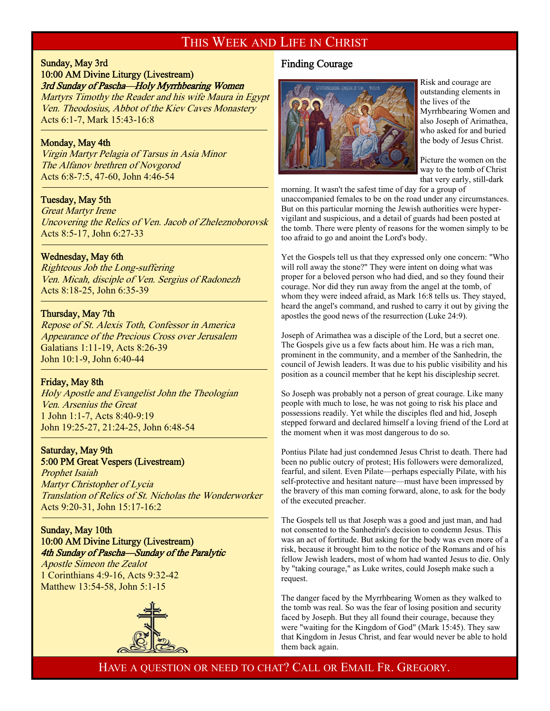### THIS WEEK AND LIFE IN CHRIST

#### Sunday, May 3rd 10:00 AM Divine Liturgy (Livestream)

### 3rd Sunday of Pascha—Holy Myrrhbearing Women

Martyrs Timothy the Reader and his wife Maura in Egypt Ven. Theodosius, Abbot of the Kiev Caves Monastery Acts 6:1-7, Mark 15:43-16:8

#### Monday, May 4th

f

j

f

<sup>-</sup>

Virgin Martyr Pelagia of Tarsus in Asia Minor The Alfanov brethren of Novgorod Acts 6:8-7:5, 47-60, John 4:46-54

#### Tuesday, May 5th

Great Martyr Irene Uncovering the Relics of Ven. Jacob of Zheleznoborovsk Acts 8:5-17, John 6:27-33

#### Wednesday, May 6th

Righteous Job the Long-suffering Ven. Micah, disciple of Ven. Sergius of Radonezh Acts 8:18-25, John 6:35-39

#### Thursday, May 7th

Repose of St. Alexis Toth, Confessor in America Appearance of the Precious Cross over Jerusalem Galatians 1:11-19, Acts 8:26-39 John 10:1-9, John 6:40-44

#### Friday, May 8th

Holy Apostle and Evangelist John the Theologian Ven. Arsenius the Great 1 John 1:1-7, Acts 8:40-9:19 John 19:25-27, 21:24-25, John 6:48-54

#### Saturday, May 9th 5:00 PM Great Vespers (Livestream)

Prophet Isaiah Martyr Christopher of Lycia Translation of Relics of St. Nicholas the Wonderworker Acts 9:20-31, John 15:17-16:2

#### Sunday, May 10th 10:00 AM Divine Liturgy (Livestream) 4th Sunday of Pascha—Sunday of the Paralytic

Apostle Simeon the Zealot 1 Corinthians 4:9-16, Acts 9:32-42 Matthew 13:54-58, John 5:1-15



#### Finding Courage



Risk and courage are outstanding elements in the lives of the Myrrhbearing Women and also Joseph of Arimathea, who asked for and buried the body of Jesus Christ.

Picture the women on the way to the tomb of Christ that very early, still-dark

morning. It wasn't the safest time of day for a group of unaccompanied females to be on the road under any circumstances. But on this particular morning the Jewish authorities were hypervigilant and suspicious, and a detail of guards had been posted at the tomb. There were plenty of reasons for the women simply to be too afraid to go and anoint the Lord's body.

Yet the Gospels tell us that they expressed only one concern: "Who will roll away the stone?" They were intent on doing what was proper for a beloved person who had died, and so they found their courage. Nor did they run away from the angel at the tomb, of whom they were indeed afraid, as Mark 16:8 tells us. They stayed, heard the angel's command, and rushed to carry it out by giving the apostles the good news of the resurrection (Luke 24:9).

Joseph of Arimathea was a disciple of the Lord, but a secret one. The Gospels give us a few facts about him. He was a rich man, prominent in the community, and a member of the Sanhedrin, the council of Jewish leaders. It was due to his public visibility and his position as a council member that he kept his discipleship secret.

So Joseph was probably not a person of great courage. Like many people with much to lose, he was not going to risk his place and possessions readily. Yet while the disciples fled and hid, Joseph stepped forward and declared himself a loving friend of the Lord at the moment when it was most dangerous to do so.

Pontius Pilate had just condemned Jesus Christ to death. There had been no public outcry of protest; His followers were demoralized, fearful, and silent. Even Pilate—perhaps especially Pilate, with his self-protective and hesitant nature—must have been impressed by the bravery of this man coming forward, alone, to ask for the body of the executed preacher.

The Gospels tell us that Joseph was a good and just man, and had not consented to the Sanhedrin's decision to condemn Jesus. This was an act of fortitude. But asking for the body was even more of a risk, because it brought him to the notice of the Romans and of his fellow Jewish leaders, most of whom had wanted Jesus to die. Only by "taking courage," as Luke writes, could Joseph make such a request.

The danger faced by the Myrrhbearing Women as they walked to the tomb was real. So was the fear of losing position and security faced by Joseph. But they all found their courage, because they were "waiting for the Kingdom of God" (Mark 15:45). They saw that Kingdom in Jesus Christ, and fear would never be able to hold them back again.

HAVE A QUESTION OR NEED TO CHAT? CALL OR EMAIL FR. GREGORY.